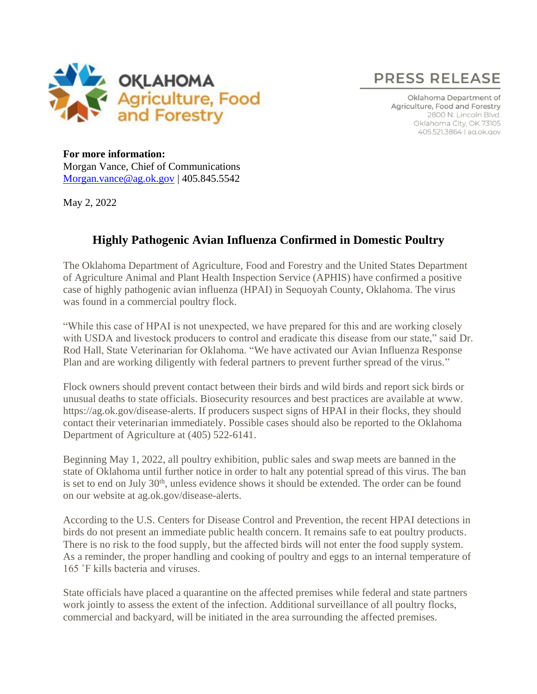

## **PRESS RELEASE**

Oklahoma Department of Agriculture, Food and Forestry 2800 N. Lincoln Blvd. Oklahoma City, OK 73105 405.521.3864 | ag.ok.gov

**For more information:** Morgan Vance, Chief of Communications [Morgan.vance@ag.ok.gov](mailto:Morgan.vance@ag.ok.gov) | 405.845.5542

May 2, 2022

## **Highly Pathogenic Avian Influenza Confirmed in Domestic Poultry**

The Oklahoma Department of Agriculture, Food and Forestry and the United States Department of Agriculture Animal and Plant Health Inspection Service (APHIS) have confirmed a positive case of highly pathogenic avian influenza (HPAI) in Sequoyah County, Oklahoma. The virus was found in a commercial poultry flock.

"While this case of HPAI is not unexpected, we have prepared for this and are working closely with USDA and livestock producers to control and eradicate this disease from our state," said Dr. Rod Hall, State Veterinarian for Oklahoma. "We have activated our Avian Influenza Response Plan and are working diligently with federal partners to prevent further spread of the virus."

Flock owners should prevent contact between their birds and wild birds and report sick birds or unusual deaths to state officials. Biosecurity resources and best practices are available at www. https://ag.ok.gov/disease-alerts. If producers suspect signs of HPAI in their flocks, they should contact their veterinarian immediately. Possible cases should also be reported to the Oklahoma Department of Agriculture at (405) 522-6141.

Beginning May 1, 2022, all poultry exhibition, public sales and swap meets are banned in the state of Oklahoma until further notice in order to halt any potential spread of this virus. The ban is set to end on July  $30<sup>th</sup>$ , unless evidence shows it should be extended. The order can be found on our website at ag.ok.gov/disease-alerts.

According to the U.S. Centers for Disease Control and Prevention, the recent HPAI detections in birds do not present an immediate public health concern. It remains safe to eat poultry products. There is no risk to the food supply, but the affected birds will not enter the food supply system. As a reminder, the proper handling and cooking of poultry and eggs to an internal temperature of 165 ˚F kills bacteria and viruses.

State officials have placed a quarantine on the affected premises while federal and state partners work jointly to assess the extent of the infection. Additional surveillance of all poultry flocks, commercial and backyard, will be initiated in the area surrounding the affected premises.